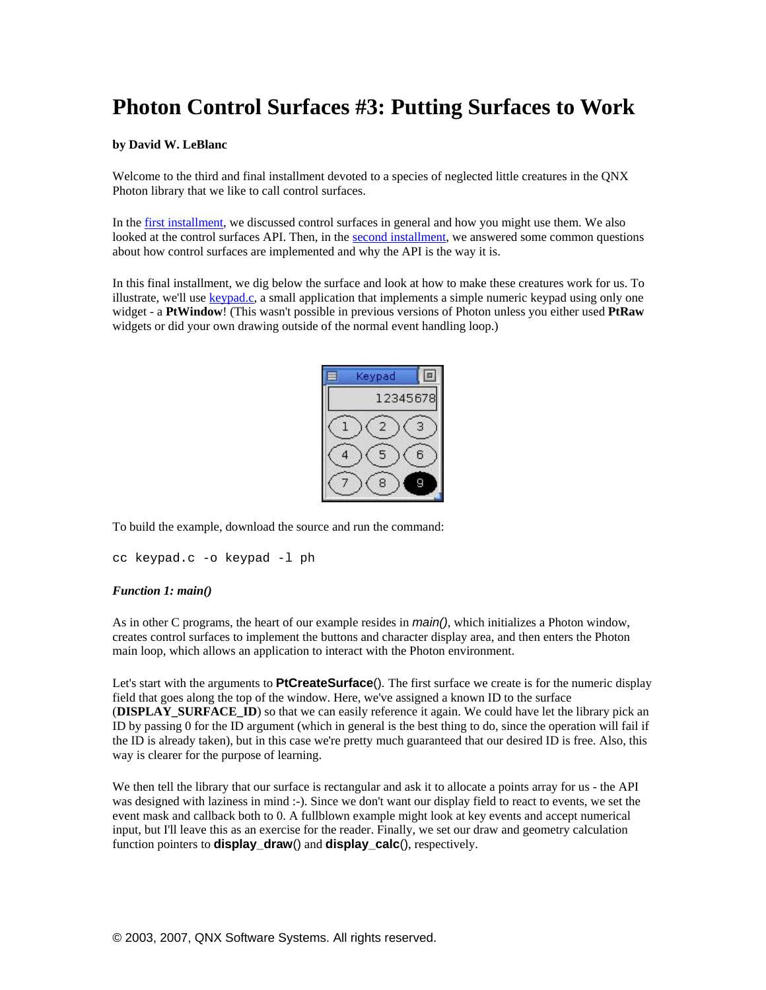# **Photon Control Surfaces #3: Putting Surfaces to Work**

## **by David W. LeBlanc**

Welcome to the third and final installment devoted to a species of neglected little creatures in the QNX Photon library that we like to call control surfaces.

In the [first installment,](http://www.qnx.com/developers/articles/article_914_1.html) we discussed control surfaces in general and how you might use them. We also looked at the control surfaces API. Then, in the [second installment,](http://www.qnx.com/developers/articles/article_313_1.html) we answered some common questions about how control surfaces are implemented and why the API is the way it is.

In this final installment, we dig below the surface and look at how to make these creatures work for us. To illustrate, we'll use [keypad.c](http://photon.qnx.com/download/download/12074/keypad.c), a small application that implements a simple numeric keypad using only one widget - a **PtWindow**! (This wasn't possible in previous versions of Photon unless you either used **PtRaw** widgets or did your own drawing outside of the normal event handling loop.)

| Keypad |          |
|--------|----------|
|        | 12345678 |
| 2      | 3        |
| 5      | ĥ        |
| я      | д        |
|        |          |

To build the example, download the source and run the command:

```
cc keypad.c -o keypad -l ph
```
#### *Function 1: main()*

As in other C programs, the heart of our example resides in *main()*, which initializes a Photon window, creates control surfaces to implement the buttons and character display area, and then enters the Photon main loop, which allows an application to interact with the Photon environment.

Let's start with the arguments to **PtCreateSurface**()*.* The first surface we create is for the numeric display field that goes along the top of the window. Here, we've assigned a known ID to the surface (**DISPLAY\_SURFACE\_ID**) so that we can easily reference it again. We could have let the library pick an ID by passing 0 for the ID argument (which in general is the best thing to do, since the operation will fail if the ID is already taken), but in this case we're pretty much guaranteed that our desired ID is free. Also, this way is clearer for the purpose of learning.

We then tell the library that our surface is rectangular and ask it to allocate a points array for us - the API was designed with laziness in mind :-). Since we don't want our display field to react to events, we set the event mask and callback both to 0. A fullblown example might look at key events and accept numerical input, but I'll leave this as an exercise for the reader. Finally, we set our draw and geometry calculation function pointers to **display\_draw**() and **display\_calc**(), respectively.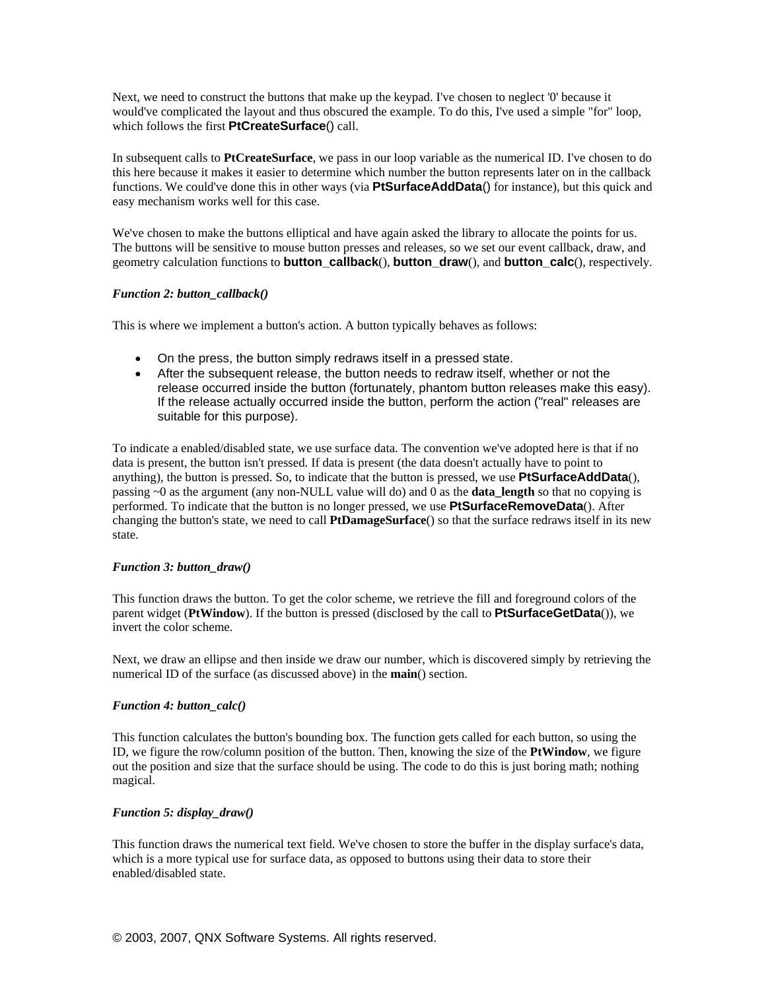Next, we need to construct the buttons that make up the keypad. I've chosen to neglect '0' because it would've complicated the layout and thus obscured the example. To do this, I've used a simple "for" loop, which follows the first **PtCreateSurface**() call.

In subsequent calls to **PtCreateSurface**, we pass in our loop variable as the numerical ID. I've chosen to do this here because it makes it easier to determine which number the button represents later on in the callback functions. We could've done this in other ways (via **PtSurfaceAddData**() for instance), but this quick and easy mechanism works well for this case.

We've chosen to make the buttons elliptical and have again asked the library to allocate the points for us. The buttons will be sensitive to mouse button presses and releases, so we set our event callback, draw, and geometry calculation functions to **button\_callback**(), **button\_draw**(), and **button\_calc**(), respectively.

## *Function 2: button\_callback()*

This is where we implement a button's action. A button typically behaves as follows:

- On the press, the button simply redraws itself in a pressed state.
- After the subsequent release, the button needs to redraw itself, whether or not the release occurred inside the button (fortunately, phantom button releases make this easy). If the release actually occurred inside the button, perform the action ("real" releases are suitable for this purpose).

To indicate a enabled/disabled state, we use surface data. The convention we've adopted here is that if no data is present, the button isn't pressed. If data is present (the data doesn't actually have to point to anything), the button is pressed. So, to indicate that the button is pressed, we use **PtSurfaceAddData**(), passing ~0 as the argument (any non-NULL value will do) and 0 as the **data\_length** so that no copying is performed. To indicate that the button is no longer pressed, we use **PtSurfaceRemoveData**(). After changing the button's state, we need to call **PtDamageSurface**() so that the surface redraws itself in its new state.

## *Function 3: button\_draw()*

This function draws the button. To get the color scheme, we retrieve the fill and foreground colors of the parent widget (**PtWindow**). If the button is pressed (disclosed by the call to **PtSurfaceGetData**()), we invert the color scheme.

Next, we draw an ellipse and then inside we draw our number, which is discovered simply by retrieving the numerical ID of the surface (as discussed above) in the **main**() section.

## *Function 4: button\_calc()*

This function calculates the button's bounding box. The function gets called for each button, so using the ID, we figure the row/column position of the button. Then, knowing the size of the **PtWindow**, we figure out the position and size that the surface should be using. The code to do this is just boring math; nothing magical.

## *Function 5: display\_draw()*

This function draws the numerical text field. We've chosen to store the buffer in the display surface's data, which is a more typical use for surface data, as opposed to buttons using their data to store their enabled/disabled state.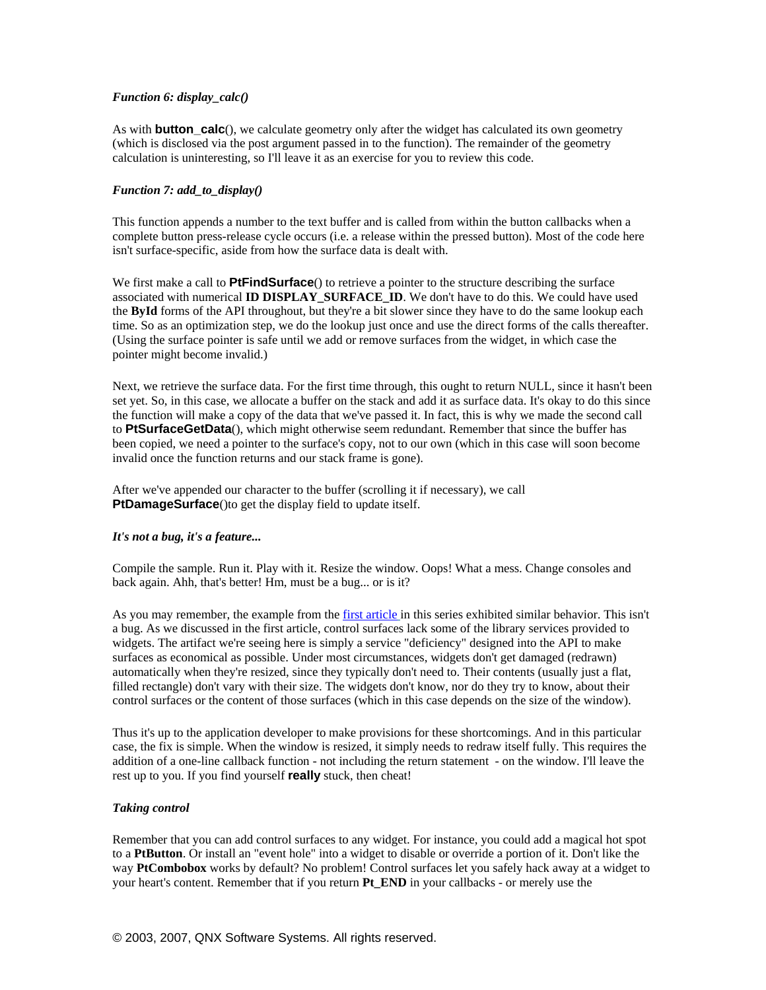## *Function 6: display\_calc()*

As with **button\_calc**(), we calculate geometry only after the widget has calculated its own geometry (which is disclosed via the post argument passed in to the function). The remainder of the geometry calculation is uninteresting, so I'll leave it as an exercise for you to review this code.

## *Function 7: add\_to\_display()*

This function appends a number to the text buffer and is called from within the button callbacks when a complete button press-release cycle occurs (i.e. a release within the pressed button). Most of the code here isn't surface-specific, aside from how the surface data is dealt with.

We first make a call to **PtFindSurface**() to retrieve a pointer to the structure describing the surface associated with numerical **ID DISPLAY\_SURFACE\_ID**. We don't have to do this. We could have used the **ById** forms of the API throughout, but they're a bit slower since they have to do the same lookup each time. So as an optimization step, we do the lookup just once and use the direct forms of the calls thereafter. (Using the surface pointer is safe until we add or remove surfaces from the widget, in which case the pointer might become invalid.)

Next, we retrieve the surface data. For the first time through, this ought to return NULL, since it hasn't been set yet. So, in this case, we allocate a buffer on the stack and add it as surface data. It's okay to do this since the function will make a copy of the data that we've passed it. In fact, this is why we made the second call to **PtSurfaceGetData**(), which might otherwise seem redundant. Remember that since the buffer has been copied, we need a pointer to the surface's copy, not to our own (which in this case will soon become invalid once the function returns and our stack frame is gone).

After we've appended our character to the buffer (scrolling it if necessary), we call **PtDamageSurface**() to get the display field to update itself.

## *It's not a bug, it's a feature...*

Compile the sample. Run it. Play with it. Resize the window. Oops! What a mess. Change consoles and back again. Ahh, that's better! Hm, must be a bug... or is it?

As you may remember, the example from the [first article](http://www.qnx.com/developers/articles/article_914_1.html) in this series exhibited similar behavior. This isn't a bug. As we discussed in the first article, control surfaces lack some of the library services provided to widgets. The artifact we're seeing here is simply a service "deficiency" designed into the API to make surfaces as economical as possible. Under most circumstances, widgets don't get damaged (redrawn) automatically when they're resized, since they typically don't need to. Their contents (usually just a flat, filled rectangle) don't vary with their size. The widgets don't know, nor do they try to know, about their control surfaces or the content of those surfaces (which in this case depends on the size of the window).

Thus it's up to the application developer to make provisions for these shortcomings. And in this particular case, the fix is simple. When the window is resized, it simply needs to redraw itself fully. This requires the addition of a one-line callback function - not including the return statement - on the window. I'll leave the rest up to you. If you find yourself **really** stuck, then cheat!

## *Taking control*

Remember that you can add control surfaces to any widget. For instance, you could add a magical hot spot to a **PtButton**. Or install an "event hole" into a widget to disable or override a portion of it. Don't like the way **PtCombobox** works by default? No problem! Control surfaces let you safely hack away at a widget to your heart's content. Remember that if you return **Pt\_END** in your callbacks - or merely use the